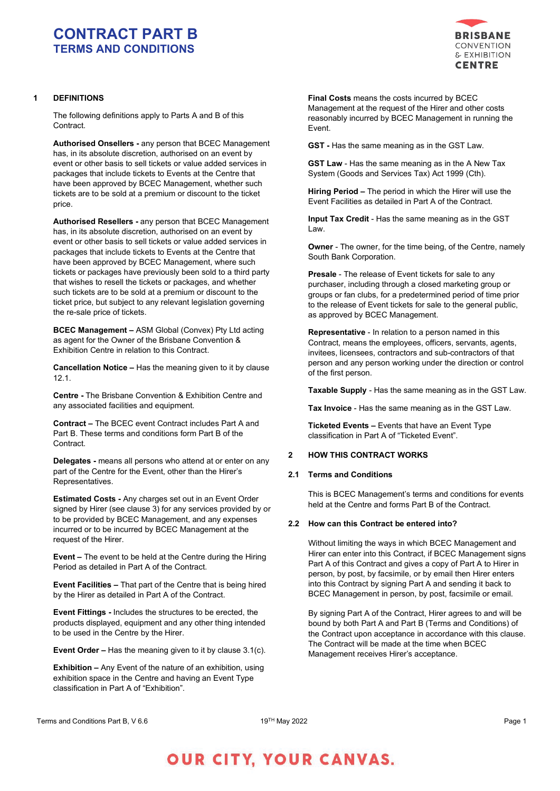

# **1 DEFINITIONS**

The following definitions apply to Parts A and B of this Contract.

**Authorised Onsellers -** any person that BCEC Management has, in its absolute discretion, authorised on an event by event or other basis to sell tickets or value added services in packages that include tickets to Events at the Centre that have been approved by BCEC Management, whether such tickets are to be sold at a premium or discount to the ticket price.

**Authorised Resellers -** any person that BCEC Management has, in its absolute discretion, authorised on an event by event or other basis to sell tickets or value added services in packages that include tickets to Events at the Centre that have been approved by BCEC Management, where such tickets or packages have previously been sold to a third party that wishes to resell the tickets or packages, and whether such tickets are to be sold at a premium or discount to the ticket price, but subject to any relevant legislation governing the re-sale price of tickets.

**BCEC Management –** ASM Global (Convex) Pty Ltd acting as agent for the Owner of the Brisbane Convention & Exhibition Centre in relation to this Contract.

**Cancellation Notice –** Has the meaning given to it by clause 12.1.

**Centre -** The Brisbane Convention & Exhibition Centre and any associated facilities and equipment.

**Contract –** The BCEC event Contract includes Part A and Part B. These terms and conditions form Part B of the Contract.

**Delegates -** means all persons who attend at or enter on any part of the Centre for the Event, other than the Hirer's Representatives.

**Estimated Costs -** Any charges set out in an Event Order signed by Hirer (see clause 3) for any services provided by or to be provided by BCEC Management, and any expenses incurred or to be incurred by BCEC Management at the request of the Hirer.

**Event –** The event to be held at the Centre during the Hiring Period as detailed in Part A of the Contract.

**Event Facilities –** That part of the Centre that is being hired by the Hirer as detailed in Part A of the Contract.

**Event Fittings -** Includes the structures to be erected, the products displayed, equipment and any other thing intended to be used in the Centre by the Hirer.

**Event Order –** Has the meaning given to it by clause 3.1(c).

**Exhibition –** Any Event of the nature of an exhibition, using exhibition space in the Centre and having an Event Type classification in Part A of "Exhibition".

**Final Costs** means the costs incurred by BCEC Management at the request of the Hirer and other costs reasonably incurred by BCEC Management in running the Event.

**GST -** Has the same meaning as in the GST Law.

**GST Law** - Has the same meaning as in the A New Tax System (Goods and Services Tax) Act 1999 (Cth).

**Hiring Period –** The period in which the Hirer will use the Event Facilities as detailed in Part A of the Contract.

**Input Tax Credit** - Has the same meaning as in the GST Law.

**Owner** - The owner, for the time being, of the Centre, namely South Bank Corporation.

**Presale** - The release of Event tickets for sale to any purchaser, including through a closed marketing group or groups or fan clubs, for a predetermined period of time prior to the release of Event tickets for sale to the general public, as approved by BCEC Management.

**Representative** - In relation to a person named in this Contract, means the employees, officers, servants, agents, invitees, licensees, contractors and sub-contractors of that person and any person working under the direction or control of the first person.

**Taxable Supply** - Has the same meaning as in the GST Law.

**Tax Invoice** - Has the same meaning as in the GST Law.

**Ticketed Events –** Events that have an Event Type classification in Part A of "Ticketed Event".

# **2 HOW THIS CONTRACT WORKS**

# **2.1 Terms and Conditions**

This is BCEC Management's terms and conditions for events held at the Centre and forms Part B of the Contract.

### **2.2 How can this Contract be entered into?**

Without limiting the ways in which BCEC Management and Hirer can enter into this Contract, if BCEC Management signs Part A of this Contract and gives a copy of Part A to Hirer in person, by post, by facsimile, or by email then Hirer enters into this Contract by signing Part A and sending it back to BCEC Management in person, by post, facsimile or email.

By signing Part A of the Contract, Hirer agrees to and will be bound by both Part A and Part B (Terms and Conditions) of the Contract upon acceptance in accordance with this clause. The Contract will be made at the time when BCEC Management receives Hirer's acceptance.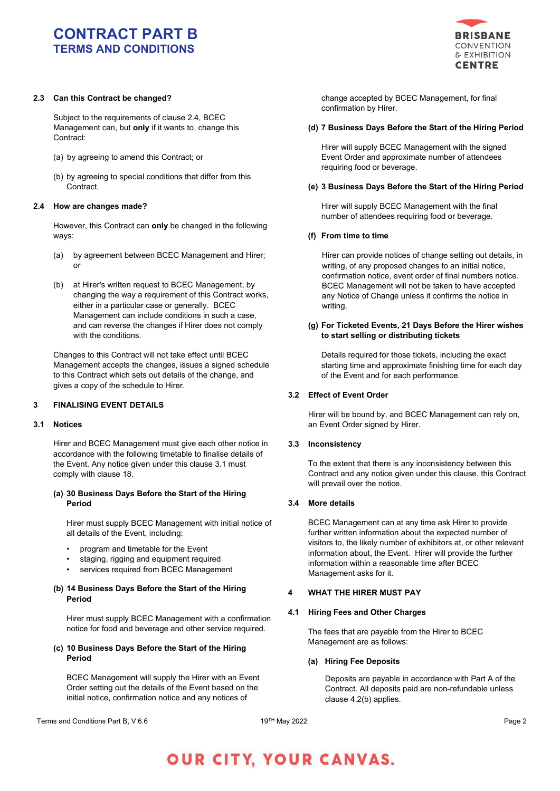

# **2.3 Can this Contract be changed?**

Subject to the requirements of clause 2.4, BCEC Management can, but **only** if it wants to, change this Contract:

- (a) by agreeing to amend this Contract; or
- (b) by agreeing to special conditions that differ from this Contract.

### **2.4 How are changes made?**

However, this Contract can **only** be changed in the following ways:

- (a) by agreement between BCEC Management and Hirer; or
- (b) at Hirer's written request to BCEC Management, by changing the way a requirement of this Contract works, either in a particular case or generally. BCEC Management can include conditions in such a case, and can reverse the changes if Hirer does not comply with the conditions.

Changes to this Contract will not take effect until BCEC Management accepts the changes, issues a signed schedule to this Contract which sets out details of the change, and gives a copy of the schedule to Hirer.

# **3 FINALISING EVENT DETAILS**

#### **3.1 Notices**

Hirer and BCEC Management must give each other notice in accordance with the following timetable to finalise details of the Event. Any notice given under this clause 3.1 must comply with clause 18.

# **(a) 30 Business Days Before the Start of the Hiring Period**

Hirer must supply BCEC Management with initial notice of all details of the Event, including:

- program and timetable for the Event
- staging, rigging and equipment required
- services required from BCEC Management

## **(b) 14 Business Days Before the Start of the Hiring Period**

Hirer must supply BCEC Management with a confirmation notice for food and beverage and other service required.

## **(c) 10 Business Days Before the Start of the Hiring Period**

BCEC Management will supply the Hirer with an Event Order setting out the details of the Event based on the initial notice, confirmation notice and any notices of

change accepted by BCEC Management, for final confirmation by Hirer.

### **(d) 7 Business Days Before the Start of the Hiring Period**

Hirer will supply BCEC Management with the signed Event Order and approximate number of attendees requiring food or beverage.

#### **(e) 3 Business Days Before the Start of the Hiring Period**

Hirer will supply BCEC Management with the final number of attendees requiring food or beverage.

#### **(f) From time to time**

Hirer can provide notices of change setting out details, in writing, of any proposed changes to an initial notice, confirmation notice, event order of final numbers notice. BCEC Management will not be taken to have accepted any Notice of Change unless it confirms the notice in writing.

### **(g) For Ticketed Events, 21 Days Before the Hirer wishes to start selling or distributing tickets**

Details required for those tickets, including the exact starting time and approximate finishing time for each day of the Event and for each performance.

### **3.2 Effect of Event Order**

Hirer will be bound by, and BCEC Management can rely on, an Event Order signed by Hirer.

### **3.3 Inconsistency**

To the extent that there is any inconsistency between this Contract and any notice given under this clause, this Contract will prevail over the notice.

### **3.4 More details**

BCEC Management can at any time ask Hirer to provide further written information about the expected number of visitors to, the likely number of exhibitors at, or other relevant information about, the Event. Hirer will provide the further information within a reasonable time after BCEC Management asks for it.

### **4 WHAT THE HIRER MUST PAY**

### **4.1 Hiring Fees and Other Charges**

The fees that are payable from the Hirer to BCEC Management are as follows:

### **(a) Hiring Fee Deposits**

Deposits are payable in accordance with Part A of the Contract. All deposits paid are non-refundable unless clause 4.2(b) applies.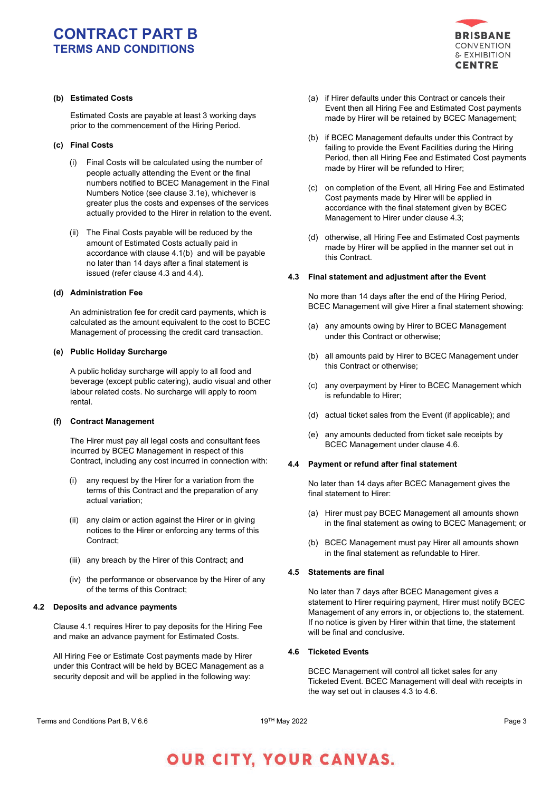

# **(b) Estimated Costs**

Estimated Costs are payable at least 3 working days prior to the commencement of the Hiring Period.

### **(c) Final Costs**

- (i) Final Costs will be calculated using the number of people actually attending the Event or the final numbers notified to BCEC Management in the Final Numbers Notice (see clause 3.1e), whichever is greater plus the costs and expenses of the services actually provided to the Hirer in relation to the event.
- (ii) The Final Costs payable will be reduced by the amount of Estimated Costs actually paid in accordance with clause 4.1(b) and will be payable no later than 14 days after a final statement is issued (refer clause 4.3 and 4.4).

### **(d) Administration Fee**

An administration fee for credit card payments, which is calculated as the amount equivalent to the cost to BCEC Management of processing the credit card transaction.

#### **(e) Public Holiday Surcharge**

A public holiday surcharge will apply to all food and beverage (except public catering), audio visual and other labour related costs. No surcharge will apply to room rental.

### **(f) Contract Management**

The Hirer must pay all legal costs and consultant fees incurred by BCEC Management in respect of this Contract, including any cost incurred in connection with:

- (i) any request by the Hirer for a variation from the terms of this Contract and the preparation of any actual variation;
- (ii) any claim or action against the Hirer or in giving notices to the Hirer or enforcing any terms of this Contract;
- (iii) any breach by the Hirer of this Contract; and
- (iv) the performance or observance by the Hirer of any of the terms of this Contract;

### **4.2 Deposits and advance payments**

Clause 4.1 requires Hirer to pay deposits for the Hiring Fee and make an advance payment for Estimated Costs.

All Hiring Fee or Estimate Cost payments made by Hirer under this Contract will be held by BCEC Management as a security deposit and will be applied in the following way:

- (a) if Hirer defaults under this Contract or cancels their Event then all Hiring Fee and Estimated Cost payments made by Hirer will be retained by BCEC Management;
- (b) if BCEC Management defaults under this Contract by failing to provide the Event Facilities during the Hiring Period, then all Hiring Fee and Estimated Cost payments made by Hirer will be refunded to Hirer;
- (c) on completion of the Event, all Hiring Fee and Estimated Cost payments made by Hirer will be applied in accordance with the final statement given by BCEC Management to Hirer under clause 4.3;
- (d) otherwise, all Hiring Fee and Estimated Cost payments made by Hirer will be applied in the manner set out in this Contract.

### **4.3 Final statement and adjustment after the Event**

No more than 14 days after the end of the Hiring Period, BCEC Management will give Hirer a final statement showing:

- (a) any amounts owing by Hirer to BCEC Management under this Contract or otherwise;
- (b) all amounts paid by Hirer to BCEC Management under this Contract or otherwise;
- (c) any overpayment by Hirer to BCEC Management which is refundable to Hirer;
- (d) actual ticket sales from the Event (if applicable); and
- (e) any amounts deducted from ticket sale receipts by BCEC Management under clause 4.6.

#### **4.4 Payment or refund after final statement**

No later than 14 days after BCEC Management gives the final statement to Hirer:

- (a) Hirer must pay BCEC Management all amounts shown in the final statement as owing to BCEC Management; or
- (b) BCEC Management must pay Hirer all amounts shown in the final statement as refundable to Hirer.

# **4.5 Statements are final**

No later than 7 days after BCEC Management gives a statement to Hirer requiring payment, Hirer must notify BCEC Management of any errors in, or objections to, the statement. If no notice is given by Hirer within that time, the statement will be final and conclusive.

# **4.6 Ticketed Events**

BCEC Management will control all ticket sales for any Ticketed Event. BCEC Management will deal with receipts in the way set out in clauses 4.3 to 4.6.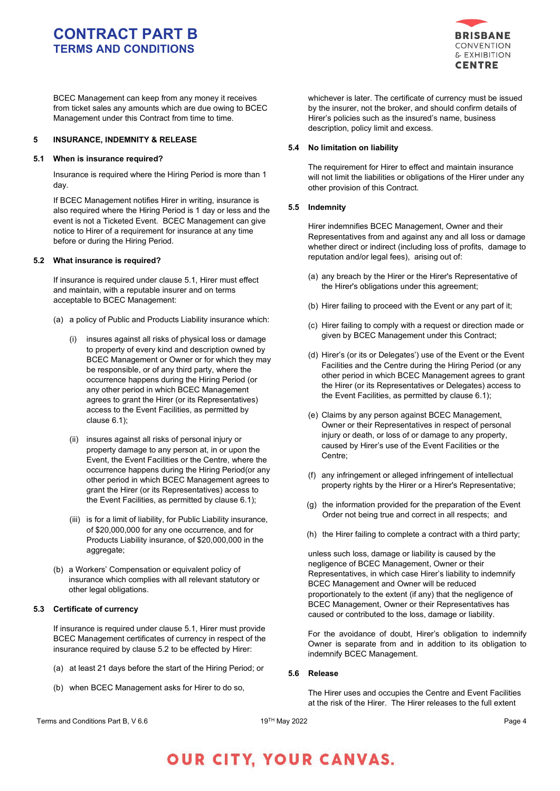

BCEC Management can keep from any money it receives from ticket sales any amounts which are due owing to BCEC Management under this Contract from time to time.

# **5 INSURANCE, INDEMNITY & RELEASE**

## **5.1 When is insurance required?**

Insurance is required where the Hiring Period is more than 1 day.

If BCEC Management notifies Hirer in writing, insurance is also required where the Hiring Period is 1 day or less and the event is not a Ticketed Event. BCEC Management can give notice to Hirer of a requirement for insurance at any time before or during the Hiring Period.

# **5.2 What insurance is required?**

If insurance is required under clause 5.1, Hirer must effect and maintain, with a reputable insurer and on terms acceptable to BCEC Management:

- (a) a policy of Public and Products Liability insurance which:
	- (i) insures against all risks of physical loss or damage to property of every kind and description owned by BCEC Management or Owner or for which they may be responsible, or of any third party, where the occurrence happens during the Hiring Period (or any other period in which BCEC Management agrees to grant the Hirer (or its Representatives) access to the Event Facilities, as permitted by clause 6.1);
	- (ii) insures against all risks of personal injury or property damage to any person at, in or upon the Event, the Event Facilities or the Centre, where the occurrence happens during the Hiring Period(or any other period in which BCEC Management agrees to grant the Hirer (or its Representatives) access to the Event Facilities, as permitted by clause 6.1);
	- (iii) is for a limit of liability, for Public Liability insurance, of \$20,000,000 for any one occurrence, and for Products Liability insurance, of \$20,000,000 in the aggregate;
- (b) a Workers' Compensation or equivalent policy of insurance which complies with all relevant statutory or other legal obligations.

### **5.3 Certificate of currency**

If insurance is required under clause 5.1, Hirer must provide BCEC Management certificates of currency in respect of the insurance required by clause 5.2 to be effected by Hirer:

- (a) at least 21 days before the start of the Hiring Period; or
- (b) when BCEC Management asks for Hirer to do so,

whichever is later. The certificate of currency must be issued by the insurer, not the broker, and should confirm details of Hirer's policies such as the insured's name, business description, policy limit and excess.

### **5.4 No limitation on liability**

The requirement for Hirer to effect and maintain insurance will not limit the liabilities or obligations of the Hirer under any other provision of this Contract.

## **5.5 Indemnity**

Hirer indemnifies BCEC Management, Owner and their Representatives from and against any and all loss or damage whether direct or indirect (including loss of profits, damage to reputation and/or legal fees), arising out of:

- (a) any breach by the Hirer or the Hirer's Representative of the Hirer's obligations under this agreement;
- (b) Hirer failing to proceed with the Event or any part of it;
- (c) Hirer failing to comply with a request or direction made or given by BCEC Management under this Contract;
- (d) Hirer's (or its or Delegates') use of the Event or the Event Facilities and the Centre during the Hiring Period (or any other period in which BCEC Management agrees to grant the Hirer (or its Representatives or Delegates) access to the Event Facilities, as permitted by clause 6.1);
- (e) Claims by any person against BCEC Management, Owner or their Representatives in respect of personal injury or death, or loss of or damage to any property, caused by Hirer's use of the Event Facilities or the Centre;
- (f) any infringement or alleged infringement of intellectual property rights by the Hirer or a Hirer's Representative;
- (g) the information provided for the preparation of the Event Order not being true and correct in all respects; and
- (h) the Hirer failing to complete a contract with a third party;

unless such loss, damage or liability is caused by the negligence of BCEC Management, Owner or their Representatives, in which case Hirer's liability to indemnify BCEC Management and Owner will be reduced proportionately to the extent (if any) that the negligence of BCEC Management, Owner or their Representatives has caused or contributed to the loss, damage or liability.

For the avoidance of doubt, Hirer's obligation to indemnify Owner is separate from and in addition to its obligation to indemnify BCEC Management.

# **5.6 Release**

The Hirer uses and occupies the Centre and Event Facilities at the risk of the Hirer. The Hirer releases to the full extent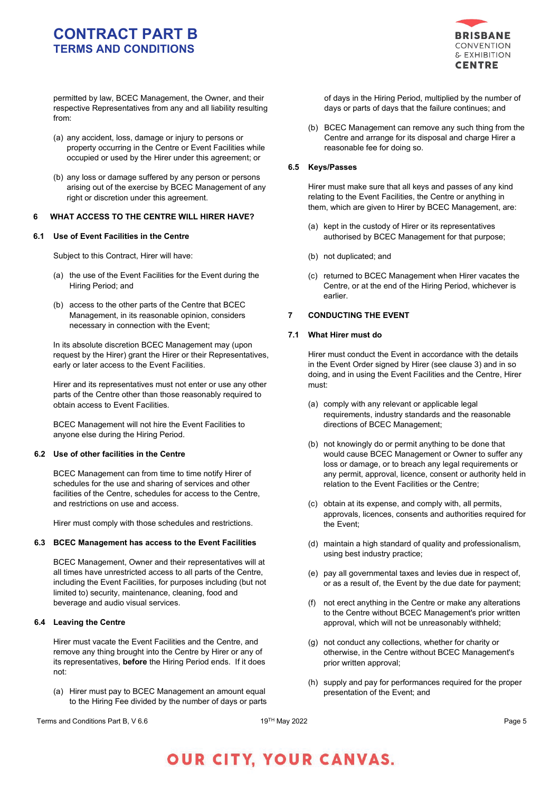

permitted by law, BCEC Management, the Owner, and their respective Representatives from any and all liability resulting from:

- (a) any accident, loss, damage or injury to persons or property occurring in the Centre or Event Facilities while occupied or used by the Hirer under this agreement; or
- (b) any loss or damage suffered by any person or persons arising out of the exercise by BCEC Management of any right or discretion under this agreement.

## **6 WHAT ACCESS TO THE CENTRE WILL HIRER HAVE?**

## **6.1 Use of Event Facilities in the Centre**

Subject to this Contract, Hirer will have:

- (a) the use of the Event Facilities for the Event during the Hiring Period; and
- (b) access to the other parts of the Centre that BCEC Management, in its reasonable opinion, considers necessary in connection with the Event;

In its absolute discretion BCEC Management may (upon request by the Hirer) grant the Hirer or their Representatives, early or later access to the Event Facilities.

Hirer and its representatives must not enter or use any other parts of the Centre other than those reasonably required to obtain access to Event Facilities.

BCEC Management will not hire the Event Facilities to anyone else during the Hiring Period.

# **6.2 Use of other facilities in the Centre**

BCEC Management can from time to time notify Hirer of schedules for the use and sharing of services and other facilities of the Centre, schedules for access to the Centre, and restrictions on use and access.

Hirer must comply with those schedules and restrictions.

# **6.3 BCEC Management has access to the Event Facilities**

BCEC Management, Owner and their representatives will at all times have unrestricted access to all parts of the Centre, including the Event Facilities, for purposes including (but not limited to) security, maintenance, cleaning, food and beverage and audio visual services.

# **6.4 Leaving the Centre**

Hirer must vacate the Event Facilities and the Centre, and remove any thing brought into the Centre by Hirer or any of its representatives, **before** the Hiring Period ends. If it does not:

(a) Hirer must pay to BCEC Management an amount equal to the Hiring Fee divided by the number of days or parts of days in the Hiring Period, multiplied by the number of days or parts of days that the failure continues; and

(b) BCEC Management can remove any such thing from the Centre and arrange for its disposal and charge Hirer a reasonable fee for doing so.

# **6.5 Keys/Passes**

Hirer must make sure that all keys and passes of any kind relating to the Event Facilities, the Centre or anything in them, which are given to Hirer by BCEC Management, are:

- (a) kept in the custody of Hirer or its representatives authorised by BCEC Management for that purpose;
- (b) not duplicated; and
- (c) returned to BCEC Management when Hirer vacates the Centre, or at the end of the Hiring Period, whichever is earlier.

# **7 CONDUCTING THE EVENT**

### **7.1 What Hirer must do**

Hirer must conduct the Event in accordance with the details in the Event Order signed by Hirer (see clause 3) and in so doing, and in using the Event Facilities and the Centre, Hirer must:

- (a) comply with any relevant or applicable legal requirements, industry standards and the reasonable directions of BCEC Management;
- (b) not knowingly do or permit anything to be done that would cause BCEC Management or Owner to suffer any loss or damage, or to breach any legal requirements or any permit, approval, licence, consent or authority held in relation to the Event Facilities or the Centre;
- (c) obtain at its expense, and comply with, all permits, approvals, licences, consents and authorities required for the Event;
- (d) maintain a high standard of quality and professionalism, using best industry practice;
- (e) pay all governmental taxes and levies due in respect of, or as a result of, the Event by the due date for payment;
- (f) not erect anything in the Centre or make any alterations to the Centre without BCEC Management's prior written approval, which will not be unreasonably withheld;
- (g) not conduct any collections, whether for charity or otherwise, in the Centre without BCEC Management's prior written approval;
- (h) supply and pay for performances required for the proper presentation of the Event; and

Terms and Conditions Part B, V 6.6  $P$  and  $\sim 19^{TH}$  May 2022  $P$  and  $P$  and  $P$  and  $P$  and  $P$  and  $P$  and  $P$  and  $P$  and  $P$  and  $P$  and  $P$  and  $P$  and  $P$  and  $P$  and  $P$  and  $P$  and  $P$  and  $P$  and  $P$  and  $P$  an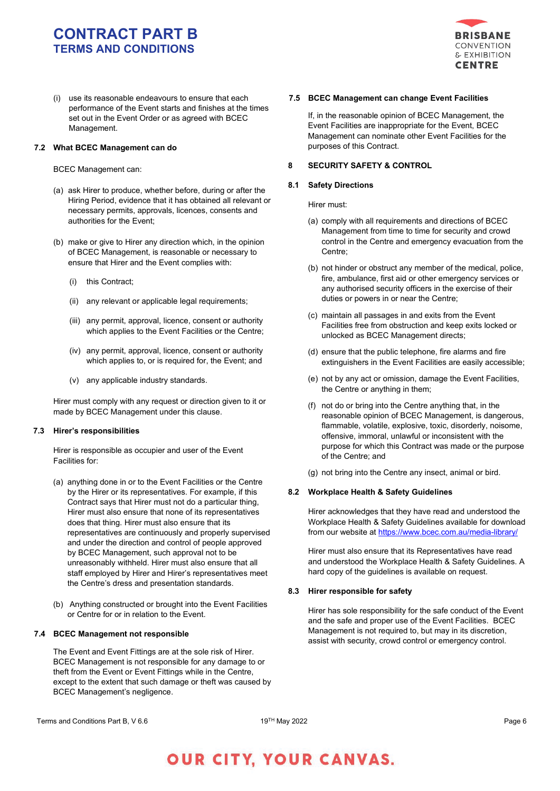

(i) use its reasonable endeavours to ensure that each performance of the Event starts and finishes at the times set out in the Event Order or as agreed with BCEC Management.

## **7.2 What BCEC Management can do**

BCEC Management can:

- (a) ask Hirer to produce, whether before, during or after the Hiring Period, evidence that it has obtained all relevant or necessary permits, approvals, licences, consents and authorities for the Event;
- (b) make or give to Hirer any direction which, in the opinion of BCEC Management, is reasonable or necessary to ensure that Hirer and the Event complies with:
	- (i) this Contract;
	- (ii) any relevant or applicable legal requirements;
	- (iii) any permit, approval, licence, consent or authority which applies to the Event Facilities or the Centre;
	- (iv) any permit, approval, licence, consent or authority which applies to, or is required for, the Event; and
	- (v) any applicable industry standards.

Hirer must comply with any request or direction given to it or made by BCEC Management under this clause.

# **7.3 Hirer's responsibilities**

Hirer is responsible as occupier and user of the Event Facilities for:

- (a) anything done in or to the Event Facilities or the Centre by the Hirer or its representatives. For example, if this Contract says that Hirer must not do a particular thing, Hirer must also ensure that none of its representatives does that thing. Hirer must also ensure that its representatives are continuously and properly supervised and under the direction and control of people approved by BCEC Management, such approval not to be unreasonably withheld. Hirer must also ensure that all staff employed by Hirer and Hirer's representatives meet the Centre's dress and presentation standards.
- (b) Anything constructed or brought into the Event Facilities or Centre for or in relation to the Event.

# **7.4 BCEC Management not responsible**

The Event and Event Fittings are at the sole risk of Hirer. BCEC Management is not responsible for any damage to or theft from the Event or Event Fittings while in the Centre, except to the extent that such damage or theft was caused by BCEC Management's negligence.

# **7.5 BCEC Management can change Event Facilities**

If, in the reasonable opinion of BCEC Management, the Event Facilities are inappropriate for the Event, BCEC Management can nominate other Event Facilities for the purposes of this Contract.

## **8 SECURITY SAFETY & CONTROL**

## **8.1 Safety Directions**

Hirer must:

- (a) comply with all requirements and directions of BCEC Management from time to time for security and crowd control in the Centre and emergency evacuation from the Centre;
- (b) not hinder or obstruct any member of the medical, police, fire, ambulance, first aid or other emergency services or any authorised security officers in the exercise of their duties or powers in or near the Centre;
- (c) maintain all passages in and exits from the Event Facilities free from obstruction and keep exits locked or unlocked as BCEC Management directs;
- (d) ensure that the public telephone, fire alarms and fire extinguishers in the Event Facilities are easily accessible;
- (e) not by any act or omission, damage the Event Facilities, the Centre or anything in them;
- (f) not do or bring into the Centre anything that, in the reasonable opinion of BCEC Management, is dangerous, flammable, volatile, explosive, toxic, disorderly, noisome, offensive, immoral, unlawful or inconsistent with the purpose for which this Contract was made or the purpose of the Centre; and
- (g) not bring into the Centre any insect, animal or bird.

# **8.2 Workplace Health & Safety Guidelines**

Hirer acknowledges that they have read and understood the Workplace Health & Safety Guidelines available for download from our website a[t https://www.bcec.com.au/media-library/](https://www.bcec.com.au/media-library/)

Hirer must also ensure that its Representatives have read and understood the Workplace Health & Safety Guidelines. A hard copy of the guidelines is available on request.

# **8.3 Hirer responsible for safety**

Hirer has sole responsibility for the safe conduct of the Event and the safe and proper use of the Event Facilities. BCEC Management is not required to, but may in its discretion, assist with security, crowd control or emergency control.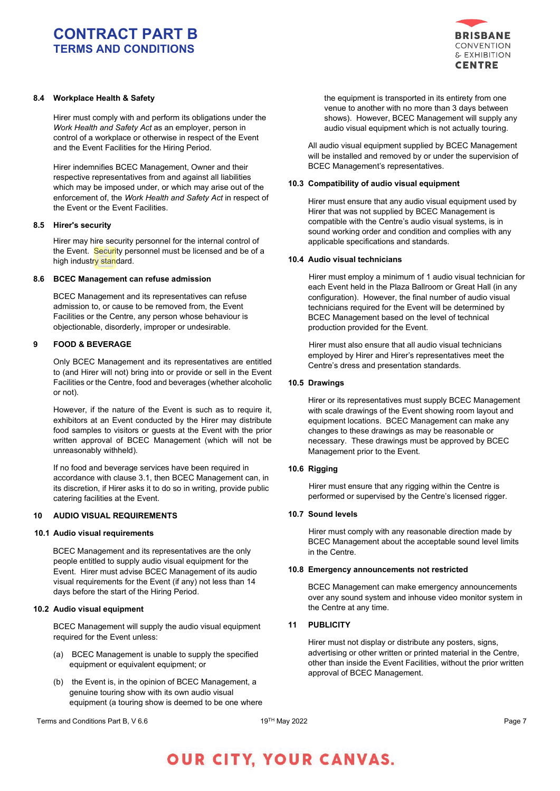

# **8.4 Workplace Health & Safety**

Hirer must comply with and perform its obligations under the *Work Health and Safety Act* as an employer, person in control of a workplace or otherwise in respect of the Event and the Event Facilities for the Hiring Period.

Hirer indemnifies BCEC Management, Owner and their respective representatives from and against all liabilities which may be imposed under, or which may arise out of the enforcement of, the *Work Health and Safety Act* in respect of the Event or the Event Facilities.

### **8.5 Hirer's security**

Hirer may hire security personnel for the internal control of the Event. Security personnel must be licensed and be of a high industry standard.

### **8.6 BCEC Management can refuse admission**

BCEC Management and its representatives can refuse admission to, or cause to be removed from, the Event Facilities or the Centre, any person whose behaviour is objectionable, disorderly, improper or undesirable.

## **9 FOOD & BEVERAGE**

Only BCEC Management and its representatives are entitled to (and Hirer will not) bring into or provide or sell in the Event Facilities or the Centre, food and beverages (whether alcoholic or not).

However, if the nature of the Event is such as to require it, exhibitors at an Event conducted by the Hirer may distribute food samples to visitors or guests at the Event with the prior written approval of BCEC Management (which will not be unreasonably withheld).

If no food and beverage services have been required in accordance with clause 3.1, then BCEC Management can, in its discretion, if Hirer asks it to do so in writing, provide public catering facilities at the Event.

### **10 AUDIO VISUAL REQUIREMENTS**

## **10.1 Audio visual requirements**

BCEC Management and its representatives are the only people entitled to supply audio visual equipment for the Event. Hirer must advise BCEC Management of its audio visual requirements for the Event (if any) not less than 14 days before the start of the Hiring Period.

### **10.2 Audio visual equipment**

BCEC Management will supply the audio visual equipment required for the Event unless:

- (a) BCEC Management is unable to supply the specified equipment or equivalent equipment; or
- (b) the Event is, in the opinion of BCEC Management, a genuine touring show with its own audio visual equipment (a touring show is deemed to be one where

the equipment is transported in its entirety from one venue to another with no more than 3 days between shows). However, BCEC Management will supply any audio visual equipment which is not actually touring.

All audio visual equipment supplied by BCEC Management will be installed and removed by or under the supervision of BCEC Management's representatives.

#### **10.3 Compatibility of audio visual equipment**

Hirer must ensure that any audio visual equipment used by Hirer that was not supplied by BCEC Management is compatible with the Centre's audio visual systems, is in sound working order and condition and complies with any applicable specifications and standards.

# **10.4 Audio visual technicians**

Hirer must employ a minimum of 1 audio visual technician for each Event held in the Plaza Ballroom or Great Hall (in any configuration). However, the final number of audio visual technicians required for the Event will be determined by BCEC Management based on the level of technical production provided for the Event.

Hirer must also ensure that all audio visual technicians employed by Hirer and Hirer's representatives meet the Centre's dress and presentation standards.

### **10.5 Drawings**

Hirer or its representatives must supply BCEC Management with scale drawings of the Event showing room layout and equipment locations. BCEC Management can make any changes to these drawings as may be reasonable or necessary. These drawings must be approved by BCEC Management prior to the Event.

### **10.6 Rigging**

Hirer must ensure that any rigging within the Centre is performed or supervised by the Centre's licensed rigger.

### **10.7 Sound levels**

Hirer must comply with any reasonable direction made by BCEC Management about the acceptable sound level limits in the Centre.

# **10.8 Emergency announcements not restricted**

BCEC Management can make emergency announcements over any sound system and inhouse video monitor system in the Centre at any time.

# **11 PUBLICITY**

Hirer must not display or distribute any posters, signs, advertising or other written or printed material in the Centre, other than inside the Event Facilities, without the prior written approval of BCEC Management.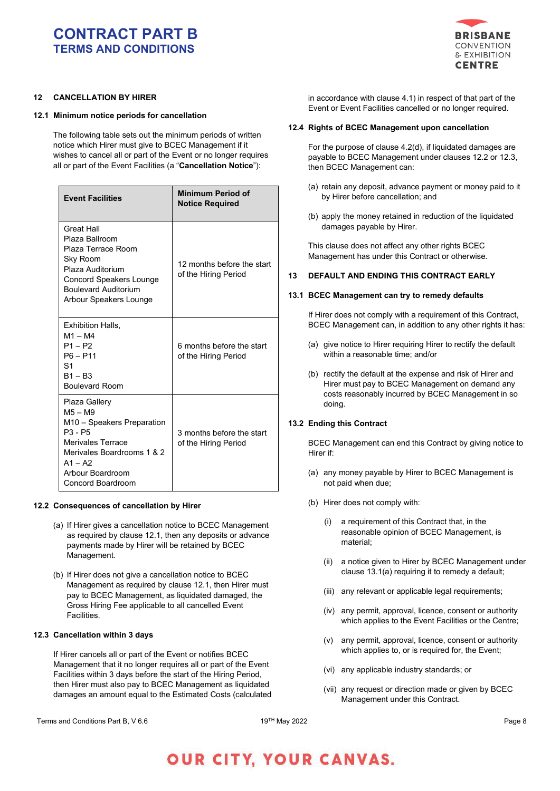

# **12 CANCELLATION BY HIRER**

# **12.1 Minimum notice periods for cancellation**

The following table sets out the minimum periods of written notice which Hirer must give to BCEC Management if it wishes to cancel all or part of the Event or no longer requires all or part of the Event Facilities (a "**Cancellation Notice**"):

| <b>Event Facilities</b>                                                                                                                                                                                            | <b>Minimum Period of</b><br><b>Notice Required</b> |
|--------------------------------------------------------------------------------------------------------------------------------------------------------------------------------------------------------------------|----------------------------------------------------|
| <b>Great Hall</b><br>Plaza Ballroom<br>Plaza Terrace Room<br>Sky Room<br>Plaza Auditorium<br><b>Concord Speakers Lounge</b><br><b>Boulevard Auditorium</b><br>Arbour Speakers Lounge                               | 12 months before the start<br>of the Hiring Period |
| Exhibition Halls,<br>$M1 - M4$<br>$P1 - P2$<br>$P6 - P11$<br>S <sub>1</sub><br>$B1 - B3$<br><b>Boulevard Room</b>                                                                                                  | 6 months before the start<br>of the Hiring Period  |
| Plaza Gallery<br>M <sub>5</sub> – M <sub>9</sub><br>M10 - Speakers Preparation<br>$P3 - P5$<br><b>Merivales Terrace</b><br>Merivales Boardrooms 1 & 2<br>$A1 - A2$<br>Arbour Boardroom<br><b>Concord Boardroom</b> | 3 months before the start<br>of the Hiring Period  |

### **12.2 Consequences of cancellation by Hirer**

- (a) If Hirer gives a cancellation notice to BCEC Management as required by clause 12.1, then any deposits or advance payments made by Hirer will be retained by BCEC Management.
- (b) If Hirer does not give a cancellation notice to BCEC Management as required by clause 12.1, then Hirer must pay to BCEC Management, as liquidated damaged, the Gross Hiring Fee applicable to all cancelled Event Facilities.

# **12.3 Cancellation within 3 days**

If Hirer cancels all or part of the Event or notifies BCEC Management that it no longer requires all or part of the Event Facilities within 3 days before the start of the Hiring Period, then Hirer must also pay to BCEC Management as liquidated damages an amount equal to the Estimated Costs (calculated

in accordance with clause 4.1) in respect of that part of the Event or Event Facilities cancelled or no longer required.

## **12.4 Rights of BCEC Management upon cancellation**

For the purpose of clause 4.2(d), if liquidated damages are payable to BCEC Management under clauses 12.2 or 12.3, then BCEC Management can:

- (a) retain any deposit, advance payment or money paid to it by Hirer before cancellation; and
- (b) apply the money retained in reduction of the liquidated damages payable by Hirer.

This clause does not affect any other rights BCEC Management has under this Contract or otherwise.

# **13 DEFAULT AND ENDING THIS CONTRACT EARLY**

## **13.1 BCEC Management can try to remedy defaults**

If Hirer does not comply with a requirement of this Contract, BCEC Management can, in addition to any other rights it has:

- (a) give notice to Hirer requiring Hirer to rectify the default within a reasonable time; and/or
- (b) rectify the default at the expense and risk of Hirer and Hirer must pay to BCEC Management on demand any costs reasonably incurred by BCEC Management in so doing.

### **13.2 Ending this Contract**

BCEC Management can end this Contract by giving notice to Hirer if:

- (a) any money payable by Hirer to BCEC Management is not paid when due;
- (b) Hirer does not comply with:
	- (i) a requirement of this Contract that, in the reasonable opinion of BCEC Management, is material;
	- (ii) a notice given to Hirer by BCEC Management under clause 13.1(a) requiring it to remedy a default;
	- (iii) any relevant or applicable legal requirements;
	- (iv) any permit, approval, licence, consent or authority which applies to the Event Facilities or the Centre;
	- (v) any permit, approval, licence, consent or authority which applies to, or is required for, the Event;
	- (vi) any applicable industry standards; or
	- (vii) any request or direction made or given by BCEC Management under this Contract.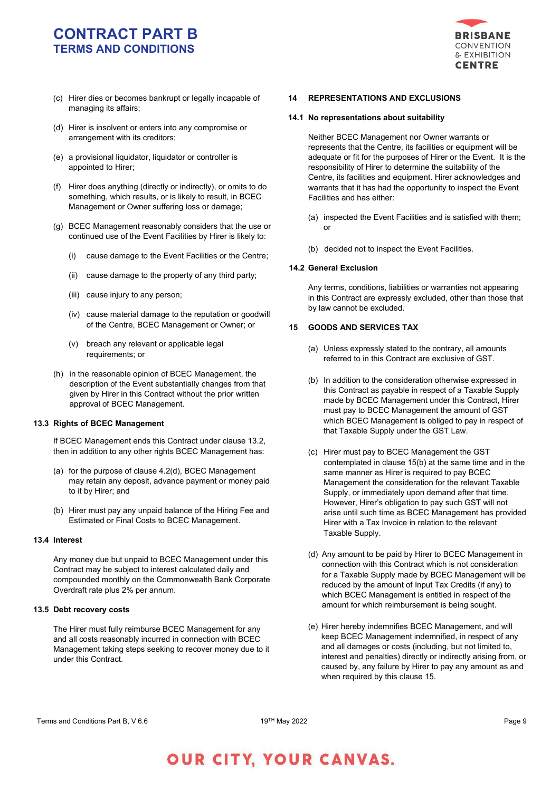

- (c) Hirer dies or becomes bankrupt or legally incapable of managing its affairs;
- (d) Hirer is insolvent or enters into any compromise or arrangement with its creditors;
- (e) a provisional liquidator, liquidator or controller is appointed to Hirer;
- (f) Hirer does anything (directly or indirectly), or omits to do something, which results, or is likely to result, in BCEC Management or Owner suffering loss or damage;
- (g) BCEC Management reasonably considers that the use or continued use of the Event Facilities by Hirer is likely to:
	- (i) cause damage to the Event Facilities or the Centre;
	- (ii) cause damage to the property of any third party;
	- (iii) cause injury to any person;
	- (iv) cause material damage to the reputation or goodwill of the Centre, BCEC Management or Owner; or
	- (v) breach any relevant or applicable legal requirements; or
- (h) in the reasonable opinion of BCEC Management, the description of the Event substantially changes from that given by Hirer in this Contract without the prior written approval of BCEC Management.

# **13.3 Rights of BCEC Management**

If BCEC Management ends this Contract under clause 13.2, then in addition to any other rights BCEC Management has:

- (a) for the purpose of clause 4.2(d), BCEC Management may retain any deposit, advance payment or money paid to it by Hirer; and
- (b) Hirer must pay any unpaid balance of the Hiring Fee and Estimated or Final Costs to BCEC Management.

## **13.4 Interest**

Any money due but unpaid to BCEC Management under this Contract may be subject to interest calculated daily and compounded monthly on the Commonwealth Bank Corporate Overdraft rate plus 2% per annum.

### **13.5 Debt recovery costs**

The Hirer must fully reimburse BCEC Management for any and all costs reasonably incurred in connection with BCEC Management taking steps seeking to recover money due to it under this Contract.

# **14 REPRESENTATIONS AND EXCLUSIONS**

### **14.1 No representations about suitability**

Neither BCEC Management nor Owner warrants or represents that the Centre, its facilities or equipment will be adequate or fit for the purposes of Hirer or the Event. It is the responsibility of Hirer to determine the suitability of the Centre, its facilities and equipment. Hirer acknowledges and warrants that it has had the opportunity to inspect the Event Facilities and has either:

- (a) inspected the Event Facilities and is satisfied with them; or
- (b) decided not to inspect the Event Facilities.

# **14.2 General Exclusion**

Any terms, conditions, liabilities or warranties not appearing in this Contract are expressly excluded, other than those that by law cannot be excluded.

# **15 GOODS AND SERVICES TAX**

- (a) Unless expressly stated to the contrary, all amounts referred to in this Contract are exclusive of GST.
- (b) In addition to the consideration otherwise expressed in this Contract as payable in respect of a Taxable Supply made by BCEC Management under this Contract, Hirer must pay to BCEC Management the amount of GST which BCEC Management is obliged to pay in respect of that Taxable Supply under the GST Law.
- (c) Hirer must pay to BCEC Management the GST contemplated in clause 15(b) at the same time and in the same manner as Hirer is required to pay BCEC Management the consideration for the relevant Taxable Supply, or immediately upon demand after that time. However, Hirer's obligation to pay such GST will not arise until such time as BCEC Management has provided Hirer with a Tax Invoice in relation to the relevant Taxable Supply.
- (d) Any amount to be paid by Hirer to BCEC Management in connection with this Contract which is not consideration for a Taxable Supply made by BCEC Management will be reduced by the amount of Input Tax Credits (if any) to which BCEC Management is entitled in respect of the amount for which reimbursement is being sought.
- (e) Hirer hereby indemnifies BCEC Management, and will keep BCEC Management indemnified, in respect of any and all damages or costs (including, but not limited to, interest and penalties) directly or indirectly arising from, or caused by, any failure by Hirer to pay any amount as and when required by this clause 15.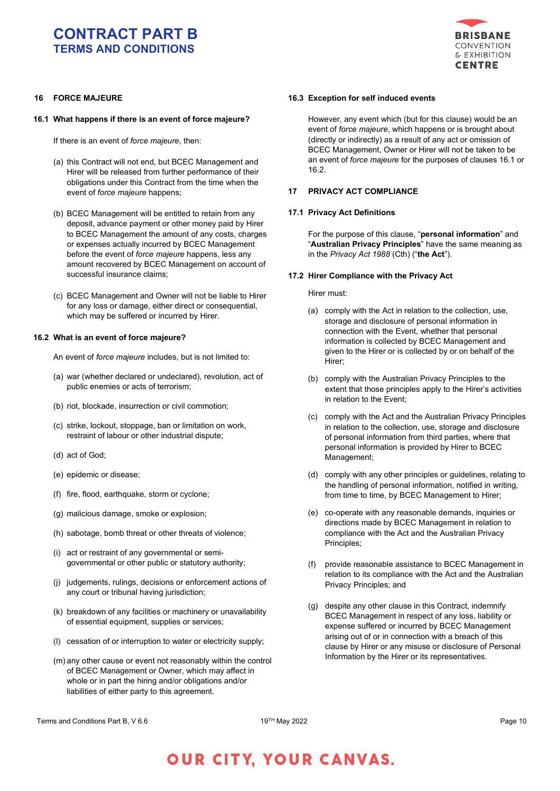

# **16 FORCE MAJEURE**

# **16.1 What happens if there is an event of force majeure?**

If there is an event of *force majeure*, then:

- (a) this Contract will not end, but BCEC Management and Hirer will be released from further performance of their obligations under this Contract from the time when the event of *force majeure* happens;
- (b) BCEC Management will be entitled to retain from any deposit, advance payment or other money paid by Hirer to BCEC Management the amount of any costs, charges or expenses actually incurred by BCEC Management before the event of *force majeure* happens, less any amount recovered by BCEC Management on account of successful insurance claims;
- (c) BCEC Management and Owner will not be liable to Hirer for any loss or damage, either direct or consequential, which may be suffered or incurred by Hirer.

### **16.2 What is an event of force majeure?**

An event of *force majeure* includes, but is not limited to:

- (a) war (whether declared or undeclared), revolution, act of public enemies or acts of terrorism;
- (b) riot, blockade, insurrection or civil commotion;
- (c) strike, lockout, stoppage, ban or limitation on work, restraint of labour or other industrial dispute;
- (d) act of God;
- (e) epidemic or disease;
- (f) fire, flood, earthquake, storm or cyclone;
- (g) malicious damage, smoke or explosion;
- (h) sabotage, bomb threat or other threats of violence;
- (i) act or restraint of any governmental or semigovernmental or other public or statutory authority;
- (j) judgements, rulings, decisions or enforcement actions of any court or tribunal having jurisdiction;
- (k) breakdown of any facilities or machinery or unavailability of essential equipment, supplies or services;
- (l) cessation of or interruption to water or electricity supply;
- (m) any other cause or event not reasonably within the control of BCEC Management or Owner, which may affect in whole or in part the hiring and/or obligations and/or liabilities of either party to this agreement.

### **16.3 Exception for self induced events**

However, any event which (but for this clause) would be an event of *force majeure*, which happens or is brought about (directly or indirectly) as a result of any act or omission of BCEC Management, Owner or Hirer will not be taken to be an event of *force majeure* for the purposes of clauses 16.1 or 16.2.

### **17 PRIVACY ACT COMPLIANCE**

#### **17.1 Privacy Act Definitions**

For the purpose of this clause, "**personal information**" and "**Australian Privacy Principles**" have the same meaning as in the *Privacy Act 1988* (Cth) ("**the Act**").

#### **17.2 Hirer Compliance with the Privacy Act**

Hirer must:

- (a) comply with the Act in relation to the collection, use, storage and disclosure of personal information in connection with the Event, whether that personal information is collected by BCEC Management and given to the Hirer or is collected by or on behalf of the Hirer;
- (b) comply with the Australian Privacy Principles to the extent that those principles apply to the Hirer's activities in relation to the Event;
- (c) comply with the Act and the Australian Privacy Principles in relation to the collection, use, storage and disclosure of personal information from third parties, where that personal information is provided by Hirer to BCEC Management;
- (d) comply with any other principles or guidelines, relating to the handling of personal information, notified in writing, from time to time, by BCEC Management to Hirer;
- (e) co-operate with any reasonable demands, inquiries or directions made by BCEC Management in relation to compliance with the Act and the Australian Privacy Principles;
- (f) provide reasonable assistance to BCEC Management in relation to its compliance with the Act and the Australian Privacy Principles; and
- (g) despite any other clause in this Contract, indemnify BCEC Management in respect of any loss, liability or expense suffered or incurred by BCEC Management arising out of or in connection with a breach of this clause by Hirer or any misuse or disclosure of Personal Information by the Hirer or its representatives.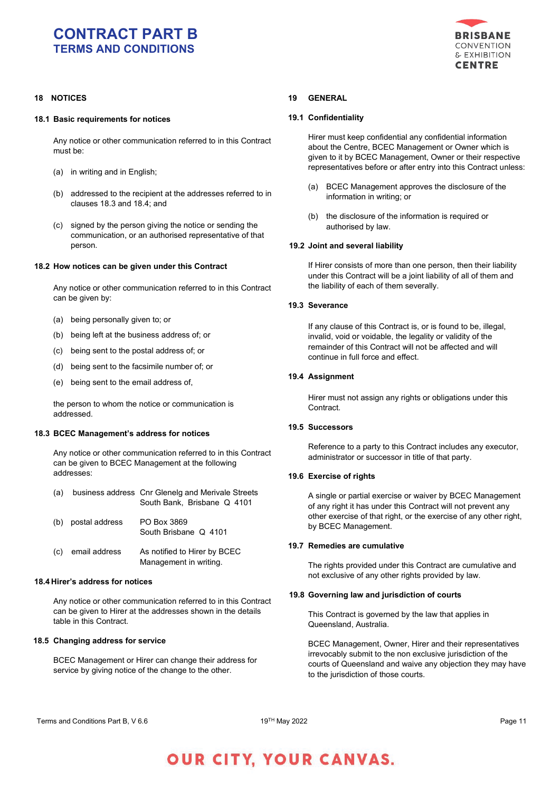

# **18 NOTICES**

## **18.1 Basic requirements for notices**

Any notice or other communication referred to in this Contract must be:

- (a) in writing and in English;
- (b) addressed to the recipient at the addresses referred to in clauses 18.3 and 18.4; and
- (c) signed by the person giving the notice or sending the communication, or an authorised representative of that person.

### **18.2 How notices can be given under this Contract**

Any notice or other communication referred to in this Contract can be given by:

- (a) being personally given to; or
- (b) being left at the business address of; or
- (c) being sent to the postal address of; or
- (d) being sent to the facsimile number of; or
- (e) being sent to the email address of,

the person to whom the notice or communication is addressed.

## **18.3 BCEC Management's address for notices**

Any notice or other communication referred to in this Contract can be given to BCEC Management at the following addresses:

- (a) business address Cnr Glenelg and Merivale Streets South Bank, Brisbane Q 4101
- (b) postal address PO Box 3869 South Brisbane Q 4101
- (c) email address As notified to Hirer by BCEC Management in writing.

# **18.4 Hirer's address for notices**

Any notice or other communication referred to in this Contract can be given to Hirer at the addresses shown in the details table in this Contract.

## **18.5 Changing address for service**

BCEC Management or Hirer can change their address for service by giving notice of the change to the other.

# **19 GENERAL**

## **19.1 Confidentiality**

Hirer must keep confidential any confidential information about the Centre, BCEC Management or Owner which is given to it by BCEC Management, Owner or their respective representatives before or after entry into this Contract unless:

- (a) BCEC Management approves the disclosure of the information in writing; or
- (b) the disclosure of the information is required or authorised by law.

## **19.2 Joint and several liability**

If Hirer consists of more than one person, then their liability under this Contract will be a joint liability of all of them and the liability of each of them severally.

## **19.3 Severance**

If any clause of this Contract is, or is found to be, illegal, invalid, void or voidable, the legality or validity of the remainder of this Contract will not be affected and will continue in full force and effect.

# **19.4 Assignment**

Hirer must not assign any rights or obligations under this Contract.

# **19.5 Successors**

Reference to a party to this Contract includes any executor, administrator or successor in title of that party.

# **19.6 Exercise of rights**

A single or partial exercise or waiver by BCEC Management of any right it has under this Contract will not prevent any other exercise of that right, or the exercise of any other right, by BCEC Management.

### **19.7 Remedies are cumulative**

The rights provided under this Contract are cumulative and not exclusive of any other rights provided by law.

### **19.8 Governing law and jurisdiction of courts**

This Contract is governed by the law that applies in Queensland, Australia.

BCEC Management, Owner, Hirer and their representatives irrevocably submit to the non exclusive jurisdiction of the courts of Queensland and waive any objection they may have to the jurisdiction of those courts.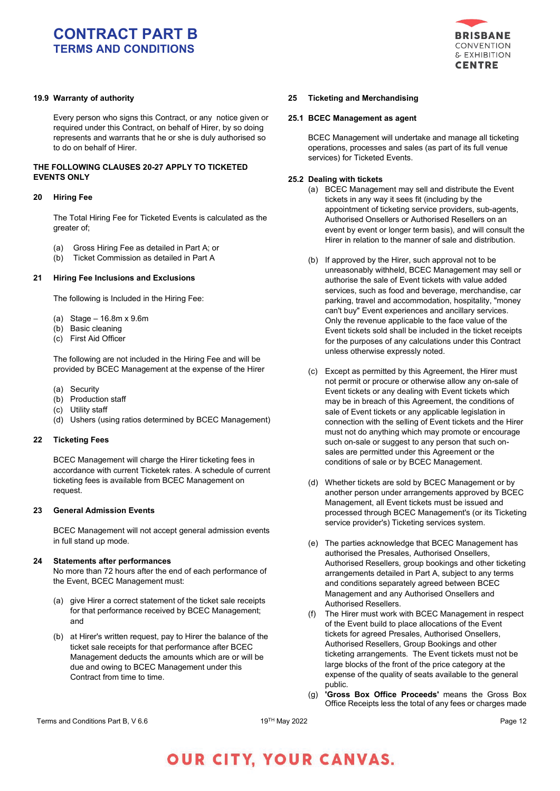# **19.9 Warranty of authority**

Every person who signs this Contract, or any notice given or required under this Contract, on behalf of Hirer, by so doing represents and warrants that he or she is duly authorised so to do on behalf of Hirer.

# **THE FOLLOWING CLAUSES 20-27 APPLY TO TICKETED EVENTS ONLY**

### **20 Hiring Fee**

The Total Hiring Fee for Ticketed Events is calculated as the greater of;

- (a) Gross Hiring Fee as detailed in Part A; or
- (b) Ticket Commission as detailed in Part A

### **21 Hiring Fee Inclusions and Exclusions**

The following is Included in the Hiring Fee:

(a) Stage – 16.8m x 9.6m

- (b) Basic cleaning
- (c) First Aid Officer

The following are not included in the Hiring Fee and will be provided by BCEC Management at the expense of the Hirer

- (a) Security
- (b) Production staff
- (c) Utility staff
- (d) Ushers (using ratios determined by BCEC Management)

#### **22 Ticketing Fees**

BCEC Management will charge the Hirer ticketing fees in accordance with current Ticketek rates. A schedule of current ticketing fees is available from BCEC Management on request.

# **23 General Admission Events**

BCEC Management will not accept general admission events in full stand up mode.

### **24 Statements after performances**

No more than 72 hours after the end of each performance of the Event, BCEC Management must:

- (a) give Hirer a correct statement of the ticket sale receipts for that performance received by BCEC Management; and
- (b) at Hirer's written request, pay to Hirer the balance of the ticket sale receipts for that performance after BCEC Management deducts the amounts which are or will be due and owing to BCEC Management under this Contract from time to time.



### **25 Ticketing and Merchandising**

### **25.1 BCEC Management as agent**

BCEC Management will undertake and manage all ticketing operations, processes and sales (as part of its full venue services) for Ticketed Events.

## **25.2 Dealing with tickets**

- (a) BCEC Management may sell and distribute the Event tickets in any way it sees fit (including by the appointment of ticketing service providers, sub-agents, Authorised Onsellers or Authorised Resellers on an event by event or longer term basis), and will consult the Hirer in relation to the manner of sale and distribution.
- (b) If approved by the Hirer, such approval not to be unreasonably withheld, BCEC Management may sell or authorise the sale of Event tickets with value added services, such as food and beverage, merchandise, car parking, travel and accommodation, hospitality, "money can't buy" Event experiences and ancillary services. Only the revenue applicable to the face value of the Event tickets sold shall be included in the ticket receipts for the purposes of any calculations under this Contract unless otherwise expressly noted.
- (c) Except as permitted by this Agreement, the Hirer must not permit or procure or otherwise allow any on-sale of Event tickets or any dealing with Event tickets which may be in breach of this Agreement, the conditions of sale of Event tickets or any applicable legislation in connection with the selling of Event tickets and the Hirer must not do anything which may promote or encourage such on-sale or suggest to any person that such onsales are permitted under this Agreement or the conditions of sale or by BCEC Management.
- (d) Whether tickets are sold by BCEC Management or by another person under arrangements approved by BCEC Management, all Event tickets must be issued and processed through BCEC Management's (or its Ticketing service provider's) Ticketing services system.
- (e) The parties acknowledge that BCEC Management has authorised the Presales, Authorised Onsellers, Authorised Resellers, group bookings and other ticketing arrangements detailed in Part A, subject to any terms and conditions separately agreed between BCEC Management and any Authorised Onsellers and Authorised Resellers.
- (f) The Hirer must work with BCEC Management in respect of the Event build to place allocations of the Event tickets for agreed Presales, Authorised Onsellers, Authorised Resellers, Group Bookings and other ticketing arrangements. The Event tickets must not be large blocks of the front of the price category at the expense of the quality of seats available to the general public.
- (g) **'Gross Box Office Proceeds'** means the Gross Box Office Receipts less the total of any fees or charges made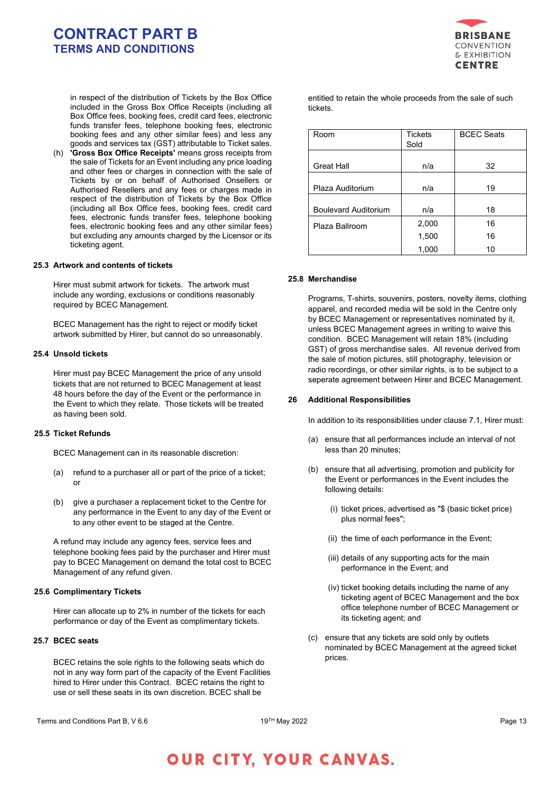

in respect of the distribution of Tickets by the Box Office included in the Gross Box Office Receipts (including all Box Office fees, booking fees, credit card fees, electronic funds transfer fees, telephone booking fees, electronic booking fees and any other similar fees) and less any goods and services tax (GST) attributable to Ticket sales.

**'Gross Box Office Receipts'** means gross receipts from the sale of Tickets for an Event including any price loading and other fees or charges in connection with the sale of Tickets by or on behalf of Authorised Onsellers or Authorised Resellers and any fees or charges made in respect of the distribution of Tickets by the Box Office (including all Box Office fees, booking fees, credit card fees, electronic funds transfer fees, telephone booking fees, electronic booking fees and any other similar fees) but excluding any amounts charged by the Licensor or its ticketing agent.

### **25.3 Artwork and contents of tickets**

Hirer must submit artwork for tickets. The artwork must include any wording, exclusions or conditions reasonably required by BCEC Management.

BCEC Management has the right to reject or modify ticket artwork submitted by Hirer, but cannot do so unreasonably.

## **25.4 Unsold tickets**

Hirer must pay BCEC Management the price of any unsold tickets that are not returned to BCEC Management at least 48 hours before the day of the Event or the performance in the Event to which they relate. Those tickets will be treated as having been sold.

# **25.5 Ticket Refunds**

BCEC Management can in its reasonable discretion:

- (a) refund to a purchaser all or part of the price of a ticket; or
- (b) give a purchaser a replacement ticket to the Centre for any performance in the Event to any day of the Event or to any other event to be staged at the Centre.

A refund may include any agency fees, service fees and telephone booking fees paid by the purchaser and Hirer must pay to BCEC Management on demand the total cost to BCEC Management of any refund given.

### **25.6 Complimentary Tickets**

Hirer can allocate up to 2% in number of the tickets for each performance or day of the Event as complimentary tickets.

## **25.7 BCEC seats**

BCEC retains the sole rights to the following seats which do not in any way form part of the capacity of the Event Facilities hired to Hirer under this Contract. BCEC retains the right to use or sell these seats in its own discretion. BCEC shall be

entitled to retain the whole proceeds from the sale of such tickets.

| Room                        | <b>Tickets</b><br>Sold | <b>BCEC Seats</b> |
|-----------------------------|------------------------|-------------------|
| <b>Great Hall</b>           | n/a                    | 32                |
| Plaza Auditorium            | n/a                    | 19                |
| <b>Boulevard Auditorium</b> | n/a                    | 18                |
| Plaza Ballroom              | 2,000                  | 16                |
|                             | 1,500                  | 16                |
|                             | 1,000                  | 10                |

#### **25.8 Merchandise**

Programs, T-shirts, souvenirs, posters, novelty items, clothing apparel, and recorded media will be sold in the Centre only by BCEC Management or representatives nominated by it, unless BCEC Management agrees in writing to waive this condition. BCEC Management will retain 18% (including GST) of gross merchandise sales. All revenue derived from the sale of motion pictures, still photography, television or radio recordings, or other similar rights, is to be subject to a seperate agreement between Hirer and BCEC Management.

#### **26 Additional Responsibilities**

In addition to its responsibilities under clause 7.1, Hirer must:

- (a) ensure that all performances include an interval of not less than 20 minutes;
- (b) ensure that all advertising, promotion and publicity for the Event or performances in the Event includes the following details:
	- (i) ticket prices, advertised as "\$ (basic ticket price) plus normal fees";
	- (ii) the time of each performance in the Event;
	- (iii) details of any supporting acts for the main performance in the Event; and
	- (iv) ticket booking details including the name of any ticketing agent of BCEC Management and the box office telephone number of BCEC Management or its ticketing agent; and
- (c) ensure that any tickets are sold only by outlets nominated by BCEC Management at the agreed ticket prices.